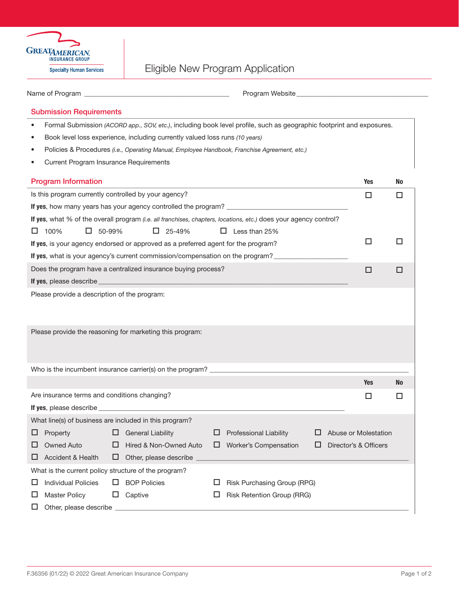

## Eligible New Program Application

| <b>Submission Requirements</b>                         |   |                                                                                                                        |   |                                                                                                                      |  |                       |     |
|--------------------------------------------------------|---|------------------------------------------------------------------------------------------------------------------------|---|----------------------------------------------------------------------------------------------------------------------|--|-----------------------|-----|
|                                                        |   |                                                                                                                        |   | Formal Submission (ACORD app., SOV, etc.), including book level profile, such as geographic footprint and exposures. |  |                       |     |
| ٠                                                      |   | Book level loss experience, including currently valued loss runs (10 years)                                            |   |                                                                                                                      |  |                       |     |
|                                                        |   |                                                                                                                        |   | Policies & Procedures (i.e., Operating Manual, Employee Handbook, Franchise Agreement, etc.)                         |  |                       |     |
| <b>Current Program Insurance Requirements</b>          |   |                                                                                                                        |   |                                                                                                                      |  |                       |     |
| <b>Program Information</b>                             |   |                                                                                                                        |   |                                                                                                                      |  | <b>Yes</b>            | No  |
| Is this program currently controlled by your agency?   |   |                                                                                                                        |   |                                                                                                                      |  | □                     | □   |
|                                                        |   |                                                                                                                        |   |                                                                                                                      |  |                       |     |
|                                                        |   |                                                                                                                        |   | If yes, what % of the overall program (i.e. all franchises, chapters, locations, etc.) does your agency control?     |  |                       |     |
| 100%<br>$\Box$ 50-99%<br>ப                             |   | $\Box$ 25-49%                                                                                                          |   | $\Box$ Less than 25%                                                                                                 |  |                       |     |
|                                                        |   | If yes, is your agency endorsed or approved as a preferred agent for the program?                                      |   |                                                                                                                      |  | □                     | □   |
|                                                        |   |                                                                                                                        |   | If yes, what is your agency's current commission/compensation on the program?                                        |  |                       |     |
|                                                        |   | Does the program have a centralized insurance buying process?                                                          |   |                                                                                                                      |  | □                     | □   |
| If yes, please describe                                |   | <u> 1990 - Johann Barn, mars ann an t-Amhain ann an t-Amhain an t-Amhain an t-Amhain an t-Amhain an t-Amhain an t-</u> |   |                                                                                                                      |  |                       |     |
|                                                        |   |                                                                                                                        |   |                                                                                                                      |  |                       |     |
|                                                        |   | Please provide the reasoning for marketing this program:                                                               |   |                                                                                                                      |  |                       |     |
|                                                        |   |                                                                                                                        |   |                                                                                                                      |  |                       |     |
|                                                        |   |                                                                                                                        |   |                                                                                                                      |  | <b>Yes</b>            | No. |
| Are insurance terms and conditions changing?           |   |                                                                                                                        |   |                                                                                                                      |  | □                     | □   |
|                                                        |   |                                                                                                                        |   |                                                                                                                      |  |                       |     |
| What line(s) of business are included in this program? |   |                                                                                                                        |   |                                                                                                                      |  |                       |     |
| Property<br>ப                                          | ப | <b>General Liability</b>                                                                                               | ப | Professional Liability                                                                                               |  | Abuse or Molestation  |     |
| <b>Owned Auto</b><br>ப                                 | ⊔ | Hired & Non-Owned Auto                                                                                                 | ப | Worker's Compensation                                                                                                |  | Director's & Officers |     |
| <b>Accident &amp; Health</b><br>⊔                      | ⊔ | Other, please describe                                                                                                 |   |                                                                                                                      |  |                       |     |
| What is the current policy structure of the program?   |   |                                                                                                                        |   |                                                                                                                      |  |                       |     |
| <b>Individual Policies</b><br>ப                        | ப | <b>BOP Policies</b>                                                                                                    | ப | Risk Purchasing Group (RPG)                                                                                          |  |                       |     |
| <b>Master Policy</b><br>ப                              | ப | Captive                                                                                                                | ப | Risk Retention Group (RRG)                                                                                           |  |                       |     |